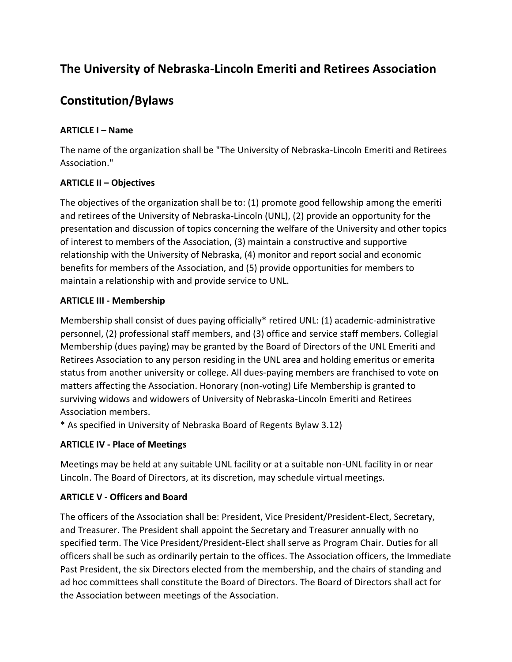# **The University of Nebraska-Lincoln Emeriti and Retirees Association**

# **Constitution/Bylaws**

## **ARTICLE I – Name**

The name of the organization shall be "The University of Nebraska-Lincoln Emeriti and Retirees Association."

### **ARTICLE II – Objectives**

The objectives of the organization shall be to: (1) promote good fellowship among the emeriti and retirees of the University of Nebraska-Lincoln (UNL), (2) provide an opportunity for the presentation and discussion of topics concerning the welfare of the University and other topics of interest to members of the Association, (3) maintain a constructive and supportive relationship with the University of Nebraska, (4) monitor and report social and economic benefits for members of the Association, and (5) provide opportunities for members to maintain a relationship with and provide service to UNL.

#### **ARTICLE III - Membership**

Membership shall consist of dues paying officially\* retired UNL: (1) academic-administrative personnel, (2) professional staff members, and (3) office and service staff members. Collegial Membership (dues paying) may be granted by the Board of Directors of the UNL Emeriti and Retirees Association to any person residing in the UNL area and holding emeritus or emerita status from another university or college. All dues-paying members are franchised to vote on matters affecting the Association. Honorary (non-voting) Life Membership is granted to surviving widows and widowers of University of Nebraska-Lincoln Emeriti and Retirees Association members.

\* As specified in University of Nebraska Board of Regents Bylaw 3.12)

# **ARTICLE IV - Place of Meetings**

Meetings may be held at any suitable UNL facility or at a suitable non-UNL facility in or near Lincoln. The Board of Directors, at its discretion, may schedule virtual meetings.

# **ARTICLE V - Officers and Board**

The officers of the Association shall be: President, Vice President/President-Elect, Secretary, and Treasurer. The President shall appoint the Secretary and Treasurer annually with no specified term. The Vice President/President-Elect shall serve as Program Chair. Duties for all officers shall be such as ordinarily pertain to the offices. The Association officers, the Immediate Past President, the six Directors elected from the membership, and the chairs of standing and ad hoc committees shall constitute the Board of Directors. The Board of Directors shall act for the Association between meetings of the Association.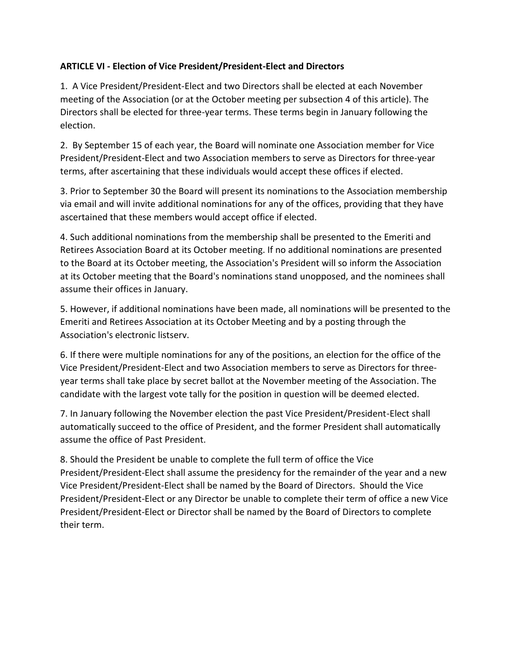### **ARTICLE VI - Election of Vice President/President-Elect and Directors**

1. A Vice President/President-Elect and two Directors shall be elected at each November meeting of the Association (or at the October meeting per subsection 4 of this article). The Directors shall be elected for three-year terms. These terms begin in January following the election.

2. By September 15 of each year, the Board will nominate one Association member for Vice President/President-Elect and two Association members to serve as Directors for three-year terms, after ascertaining that these individuals would accept these offices if elected.

3. Prior to September 30 the Board will present its nominations to the Association membership via email and will invite additional nominations for any of the offices, providing that they have ascertained that these members would accept office if elected.

4. Such additional nominations from the membership shall be presented to the Emeriti and Retirees Association Board at its October meeting. If no additional nominations are presented to the Board at its October meeting, the Association's President will so inform the Association at its October meeting that the Board's nominations stand unopposed, and the nominees shall assume their offices in January.

5. However, if additional nominations have been made, all nominations will be presented to the Emeriti and Retirees Association at its October Meeting and by a posting through the Association's electronic listserv.

6. If there were multiple nominations for any of the positions, an election for the office of the Vice President/President-Elect and two Association members to serve as Directors for threeyear terms shall take place by secret ballot at the November meeting of the Association. The candidate with the largest vote tally for the position in question will be deemed elected.

7. In January following the November election the past Vice President/President-Elect shall automatically succeed to the office of President, and the former President shall automatically assume the office of Past President.

8. Should the President be unable to complete the full term of office the Vice President/President-Elect shall assume the presidency for the remainder of the year and a new Vice President/President-Elect shall be named by the Board of Directors. Should the Vice President/President-Elect or any Director be unable to complete their term of office a new Vice President/President-Elect or Director shall be named by the Board of Directors to complete their term.